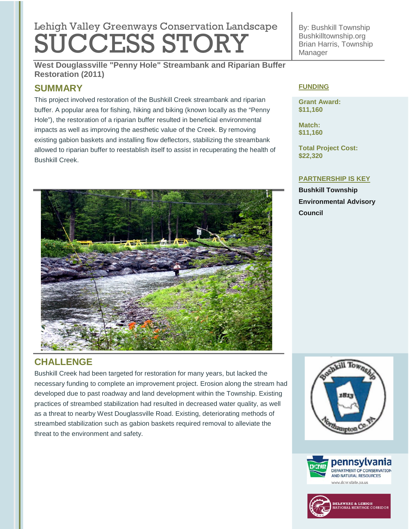# Lehigh Valley Greenways Conservation Landscape SUCCESS STORY

By: Bushkill Township Bushkilltownship.org Brian Harris, Township Manager

**West Douglassville "Penny Hole" Streambank and Riparian Buffer Restoration (2011)**

# **SUMMARY**

This project involved restoration of the Bushkill Creek streambank and riparian buffer. A popular area for fishing, hiking and biking (known locally as the "Penny Hole"), the restoration of a riparian buffer resulted in beneficial environmental impacts as well as improving the aesthetic value of the Creek. By removing existing gabion baskets and installing flow deflectors, stabilizing the streambank allowed to riparian buffer to reestablish itself to assist in recuperating the health of Bushkill Creek.



## **FUNDING**

**Grant Award: \$11,160**

**Match: \$11,160**

**Total Project Cost: \$22,320**

### **PARTNERSHIP IS KEY**

**Bushkill Township Environmental Advisory Council** 

# **CHALLENGE**

Bushkill Creek had been targeted for restoration for many years, but lacked the necessary funding to complete an improvement project. Erosion along the stream had developed due to past roadway and land development within the Township. Existing practices of streambed stabilization had resulted in decreased water quality, as well as a threat to nearby West Douglassville Road. Existing, deteriorating methods of streambed stabilization such as gabion baskets required removal to alleviate the threat to the environment and safety.